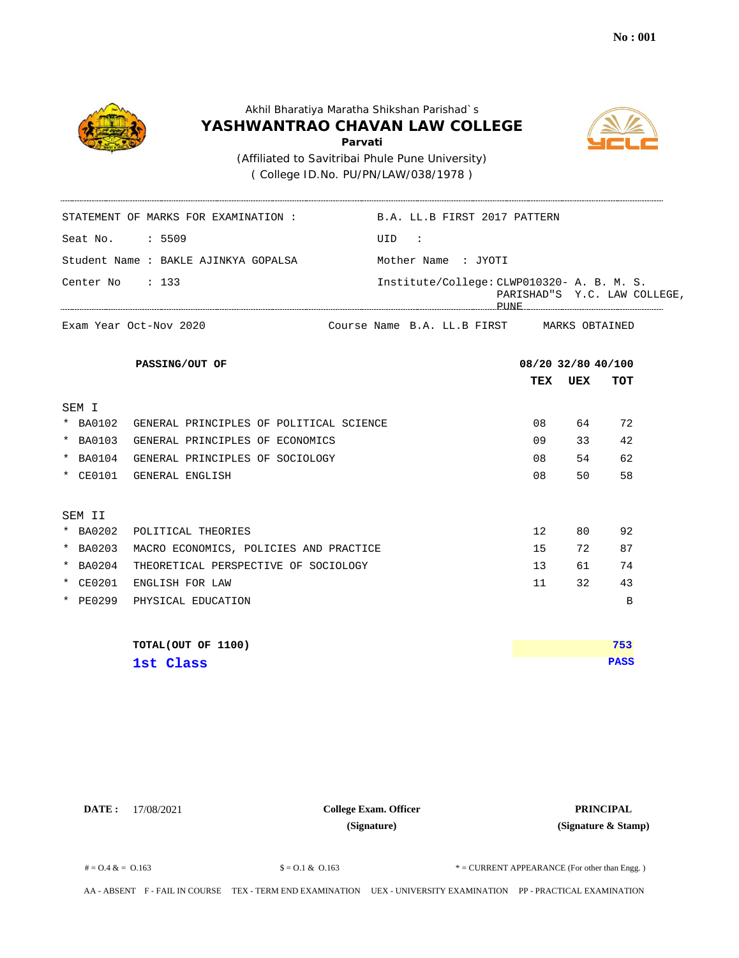



 ( College ID.No. PU/PN/LAW/038/1978 ) (Affiliated to Savitribai Phule Pune University)

\_\_\_\_\_\_\_\_\_\_\_\_\_\_\_\_\_\_\_\_\_\_

|                 | STATEMENT OF MARKS FOR EXAMINATION :             | B.A. LL.B FIRST 2017 PATTERN               |                    |     |                              |
|-----------------|--------------------------------------------------|--------------------------------------------|--------------------|-----|------------------------------|
| Seat No. : 5509 |                                                  | UID:                                       |                    |     |                              |
|                 | Student Name : BAKLE AJINKYA GOPALSA             | Mother Name : JYOTI                        |                    |     |                              |
| Center No       | $\therefore$ 133                                 | Institute/College: CLWP010320- A. B. M. S. |                    |     | PARISHAD"S Y.C. LAW COLLEGE, |
|                 | Exam Year Oct-Nov 2020                           | Course Name B.A. LL.B FIRST MARKS OBTAINED |                    |     |                              |
|                 | PASSING/OUT OF                                   |                                            | 08/20 32/80 40/100 |     |                              |
|                 |                                                  |                                            | TEX                | UEX | <b>TOT</b>                   |
| SEM I           |                                                  |                                            |                    |     |                              |
|                 | * BA0102 GENERAL PRINCIPLES OF POLITICAL SCIENCE |                                            | 08                 | 64  | 72                           |
| * BA0103        | GENERAL PRINCIPLES OF ECONOMICS                  |                                            | 09                 | 33  | 42                           |
| $*$ BA0104      | GENERAL PRINCIPLES OF SOCIOLOGY                  |                                            | 08                 | 54  | 62                           |
| * CE0101        | GENERAL ENGLISH                                  |                                            | 08                 | 50  | 58                           |
| SEM II          |                                                  |                                            |                    |     |                              |
| * BA0202        | POLITICAL THEORIES                               |                                            | 12                 | 80  | 92                           |
| * BA0203        | MACRO ECONOMICS, POLICIES AND PRACTICE           |                                            | 15                 | 72  | 87                           |
| * BA0204        | THEORETICAL PERSPECTIVE OF SOCIOLOGY             |                                            | 13                 | 61  | 74                           |
| * CE0201        | ENGLISH FOR LAW                                  |                                            | 11                 | 32  | 43                           |
|                 | * PE0299 PHYSICAL EDUCATION                      |                                            |                    |     | B                            |
|                 | TOTAL(OUT OF 1100)                               |                                            |                    |     | 753                          |
|                 | 1st Class                                        |                                            |                    |     | <b>PASS</b>                  |

**DATE :** 17/08/2021 **PRINCIPAL College Exam. Officer (Signature)**

**(Signature & Stamp)**

 $\text{\$} = 0.1 \& 0.163$   $\text{\$} = 0.1 \& 0.163$   $\text{\$} = \text{CURENT}$  APPEARANCE (For other than Engg.)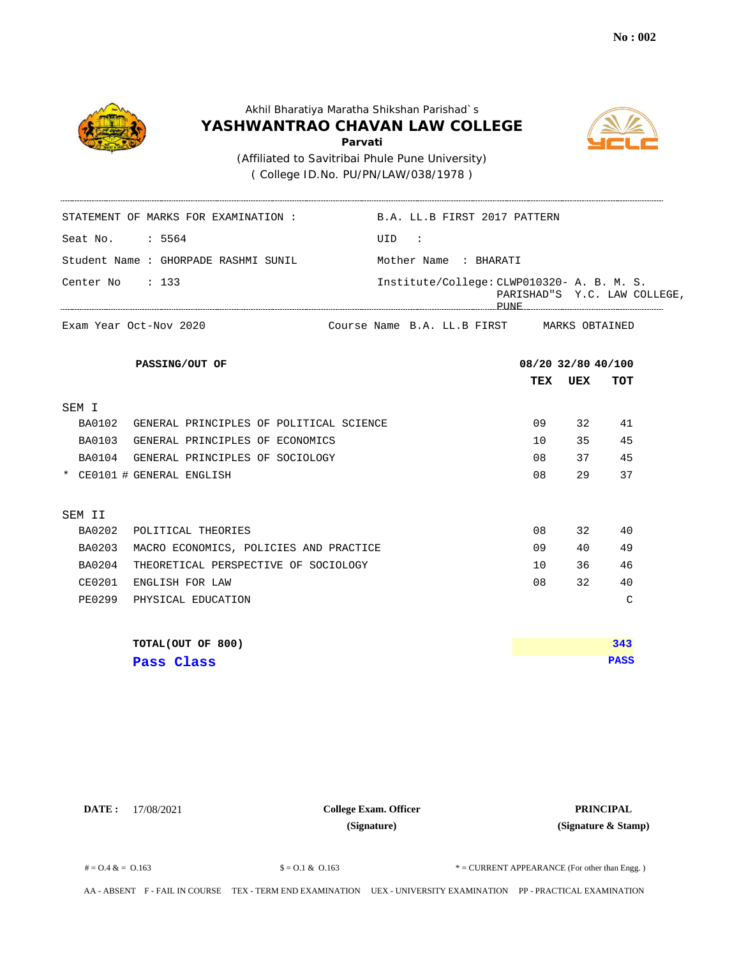

 ( College ID.No. PU/PN/LAW/038/1978 ) (Affiliated to Savitribai Phule Pune University)

| STATEMENT OF MARKS FOR EXAMINATION: B.A. LL.B FIRST 2017 PATTERN |                                            |                    |     |                              |
|------------------------------------------------------------------|--------------------------------------------|--------------------|-----|------------------------------|
| Seat No. : 5564                                                  | UID:                                       |                    |     |                              |
| Student Name : GHORPADE RASHMI SUNIL                             | Mother Name : BHARATI                      |                    |     |                              |
| Center No : 133                                                  | Institute/College: CLWP010320- A. B. M. S. |                    |     | PARISHAD"S Y.C. LAW COLLEGE, |
| Exam Year Oct-Nov 2020                                           | Course Name B.A. LL.B FIRST MARKS OBTAINED |                    |     |                              |
| PASSING/OUT OF                                                   |                                            | 08/20 32/80 40/100 |     |                              |
|                                                                  |                                            | TEX                | UEX | TOT                          |
| SEM I                                                            |                                            |                    |     |                              |
| BA0102 GENERAL PRINCIPLES OF POLITICAL SCIENCE                   |                                            | 09                 | 32  | 41                           |
| BA0103 GENERAL PRINCIPLES OF ECONOMICS                           |                                            | $10^{-}$           | 35  | 45                           |
| BA0104 GENERAL PRINCIPLES OF SOCIOLOGY                           |                                            | 08                 | 37  | 45                           |
| * CE0101 # GENERAL ENGLISH                                       |                                            | 08                 | 29  | 37                           |
| SEM II                                                           |                                            |                    |     |                              |
| BA0202<br>POLITICAL THEORIES                                     |                                            | 08                 | 32  | 40                           |
| <b>BA0203</b><br>MACRO ECONOMICS, POLICIES AND PRACTICE          |                                            | 09                 | 40  | 49                           |
| BA0204<br>THEORETICAL PERSPECTIVE OF SOCIOLOGY                   |                                            | 10                 | 36  | 46                           |
| CE0201<br>ENGLISH FOR LAW                                        |                                            | 08                 | 32  | 40                           |
| <b>PE0299</b><br>PHYSICAL EDUCATION                              |                                            |                    |     | $\mathsf{C}$                 |
| TOTAL(OUT OF 800)                                                |                                            |                    |     | 343                          |
| Pass Class                                                       |                                            |                    |     | <b>PASS</b>                  |

**DATE :** 17/08/2021 **PRINCIPAL College Exam. Officer (Signature)**

**(Signature & Stamp)**

 $\text{\$} = 0.1 \& 0.163$   $\text{\$} = 0.1 \& 0.163$   $\text{\$} = \text{CURENT}$  APPEARANCE (For other than Engg.)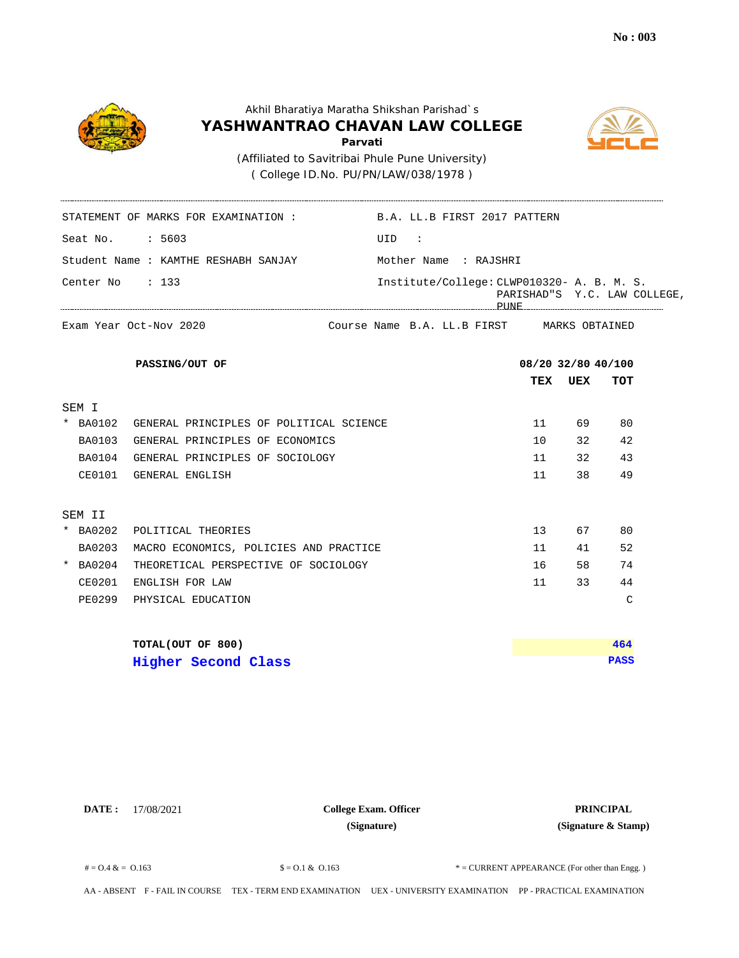



 ( College ID.No. PU/PN/LAW/038/1978 ) (Affiliated to Savitribai Phule Pune University)

| STATEMENT OF MARKS FOR EXAMINATION :                    | B.A. LL.B FIRST 2017 PATTERN               |                    |     |                              |
|---------------------------------------------------------|--------------------------------------------|--------------------|-----|------------------------------|
| Seat No. : 5603                                         | UID :                                      |                    |     |                              |
| Student Name : KAMTHE RESHABH SANJAY                    | Mother Name : RAJSHRI                      |                    |     |                              |
| Center No : 133                                         | Institute/College: CLWP010320- A. B. M. S. |                    |     | PARISHAD"S Y.C. LAW COLLEGE, |
| Exam Year Oct-Nov 2020                                  | Course Name B.A. LL.B FIRST MARKS OBTAINED |                    |     |                              |
| PASSING/OUT OF                                          |                                            | 08/20 32/80 40/100 |     |                              |
|                                                         |                                            | TEX                | UEX | TOT                          |
| SEM I                                                   |                                            |                    |     |                              |
| * BA0102<br>GENERAL PRINCIPLES OF POLITICAL SCIENCE     |                                            | 11                 | 69  | 80                           |
| <b>BA0103</b><br>GENERAL PRINCIPLES OF ECONOMICS        |                                            | 10                 | 32  | 42                           |
| BA0104 GENERAL PRINCIPLES OF SOCIOLOGY                  |                                            | 11                 | 32  | 43                           |
| CE0101 GENERAL ENGLISH                                  |                                            | 11                 | 38  | 49                           |
| SEM II                                                  |                                            |                    |     |                              |
| * BA0202<br>POLITICAL THEORIES                          |                                            | 13 <sup>°</sup>    | 67  | 80                           |
| <b>BA0203</b><br>MACRO ECONOMICS, POLICIES AND PRACTICE |                                            | 11                 | 41  | 52                           |
| * BA0204<br>THEORETICAL PERSPECTIVE OF SOCIOLOGY        |                                            | 16                 | 58  | 74                           |
| CE0201<br>ENGLISH FOR LAW                               |                                            | 11                 | 33  | 44                           |
| PE0299<br>PHYSICAL EDUCATION                            |                                            |                    |     | C                            |
| TOTAL(OUT OF 800)                                       |                                            |                    |     | 464                          |
| <b>Higher Second Class</b>                              |                                            |                    |     | <b>PASS</b>                  |

**DATE :** 17/08/2021 **PRINCIPAL College Exam. Officer (Signature)**

**(Signature & Stamp)**

 $\text{\$} = 0.1 \& 0.163$   $\text{\$} = 0.1 \& 0.163$   $\text{\$} = \text{CURENT}$  APPEARANCE (For other than Engg.)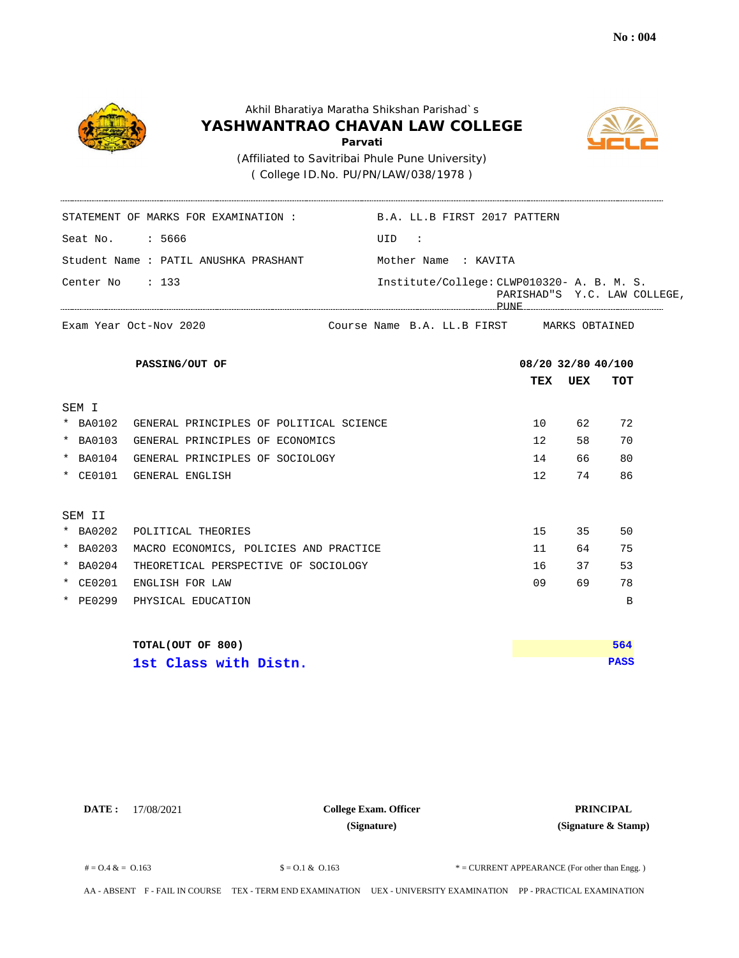



 ( College ID.No. PU/PN/LAW/038/1978 ) (Affiliated to Savitribai Phule Pune University)

\_\_\_\_\_\_\_\_\_\_\_\_\_\_\_\_\_\_\_\_\_\_

|                 | STATEMENT OF MARKS FOR EXAMINATION :             | B.A. LL.B FIRST 2017 PATTERN               |                    |     |                              |
|-----------------|--------------------------------------------------|--------------------------------------------|--------------------|-----|------------------------------|
| Seat No. : 5666 |                                                  | UID:                                       |                    |     |                              |
|                 | Student Name : PATIL ANUSHKA PRASHANT            | Mother Name : KAVITA                       |                    |     |                              |
| Center No : 133 |                                                  | Institute/College: CLWP010320- A. B. M. S. |                    |     | PARISHAD"S Y.C. LAW COLLEGE, |
|                 | Exam Year Oct-Nov 2020                           | Course Name B.A. LL.B FIRST MARKS OBTAINED |                    |     |                              |
|                 | PASSING/OUT OF                                   |                                            | 08/20 32/80 40/100 |     |                              |
|                 |                                                  |                                            | TEX                | UEX | TOT                          |
| SEM I           |                                                  |                                            |                    |     |                              |
|                 | * BA0102 GENERAL PRINCIPLES OF POLITICAL SCIENCE |                                            | 10                 | 62  | 72                           |
| * BA0103        | GENERAL PRINCIPLES OF ECONOMICS                  |                                            | 12                 | 58  | 70                           |
| * BA0104        | GENERAL PRINCIPLES OF SOCIOLOGY                  |                                            | 14                 | 66  | 80                           |
| * CE0101        | GENERAL ENGLISH                                  |                                            | 12 <sup>°</sup>    | 74  | 86                           |
| SEM II          |                                                  |                                            |                    |     |                              |
| * BA0202        | POLITICAL THEORIES                               |                                            | 15                 | 35  | 50                           |
| * BA0203        | MACRO ECONOMICS, POLICIES AND PRACTICE           |                                            | 11                 | 64  | 75                           |
| * BA0204        | THEORETICAL PERSPECTIVE OF SOCIOLOGY             |                                            | 16                 | 37  | 53                           |
| * CE0201        | ENGLISH FOR LAW                                  |                                            | 09                 | 69  | 78                           |
|                 | * PE0299 PHYSICAL EDUCATION                      |                                            |                    |     | B                            |
|                 | TOTAL(OUT OF 800)                                |                                            |                    |     | 564                          |
|                 | 1st Class with Distn.                            |                                            |                    |     | <b>PASS</b>                  |

**DATE :** 17/08/2021 **PRINCIPAL College Exam. Officer (Signature)**

**(Signature & Stamp)**

 $\text{\$} = 0.1 \& 0.163$   $\text{\$} = 0.1 \& 0.163$   $\text{\$} = \text{CURENT}$  APPEARANCE (For other than Engg.)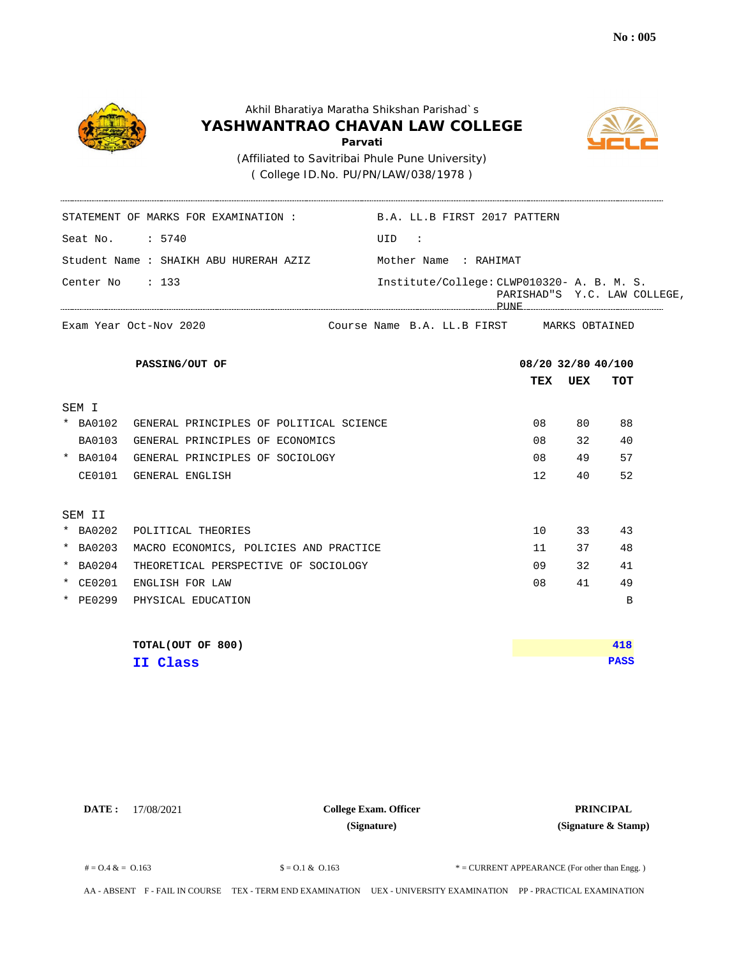

 ( College ID.No. PU/PN/LAW/038/1978 ) (Affiliated to Savitribai Phule Pune University)

|                   | STATEMENT OF MARKS FOR EXAMINATION: B.A. LL.B FIRST 2017 PATTERN |       |                                            |                    |     |                              |
|-------------------|------------------------------------------------------------------|-------|--------------------------------------------|--------------------|-----|------------------------------|
| Seat No. : 5740   |                                                                  | UID : |                                            |                    |     |                              |
|                   | Student Name : SHAIKH ABU HURERAH AZIZ Mother Name : RAHIMAT     |       |                                            |                    |     |                              |
| Center No $: 133$ |                                                                  |       | Institute/College: CLWP010320- A. B. M. S. |                    |     | PARISHAD"S Y.C. LAW COLLEGE, |
|                   | Exam Year Oct-Nov 2020                                           |       | Course Name B.A. LL.B FIRST MARKS OBTAINED |                    |     |                              |
|                   | PASSING/OUT OF                                                   |       |                                            | 08/20 32/80 40/100 |     |                              |
|                   |                                                                  |       |                                            | TEX                | UEX | TOT                          |
| SEM I             |                                                                  |       |                                            |                    |     |                              |
|                   | * BA0102 GENERAL PRINCIPLES OF POLITICAL SCIENCE                 |       |                                            | 08                 | 80  | 88                           |
| BA0103            | GENERAL PRINCIPLES OF ECONOMICS                                  |       |                                            | 08                 | 32  | 40                           |
|                   | * BA0104 GENERAL PRINCIPLES OF SOCIOLOGY                         |       |                                            | 08                 | 49  | 57                           |
|                   | CE0101 GENERAL ENGLISH                                           |       |                                            | 12                 | 40  | 52                           |
| SEM II            |                                                                  |       |                                            |                    |     |                              |
| * BA0202          | POLITICAL THEORIES                                               |       |                                            | 10                 | 33  | 43                           |
| * BA0203          | MACRO ECONOMICS, POLICIES AND PRACTICE                           |       |                                            | 11                 | 37  | 48                           |
| * BA0204          | THEORETICAL PERSPECTIVE OF SOCIOLOGY                             |       |                                            | 09                 | 32  | 41                           |
| * CE0201          | ENGLISH FOR LAW                                                  |       |                                            | 08                 | 41  | 49                           |
|                   | * PE0299 PHYSICAL EDUCATION                                      |       |                                            |                    |     | B                            |
|                   | TOTAL(OUT OF 800)                                                |       |                                            |                    |     | 418                          |
|                   | II Class                                                         |       |                                            |                    |     | <b>PASS</b>                  |

**DATE :** 17/08/2021 **PRINCIPAL College Exam. Officer (Signature)**

**(Signature & Stamp)**

 $\text{\$} = 0.1 \& 0.163$   $\text{\$} = 0.1 \& 0.163$   $\text{\$} = \text{CURENT}$  APPEARANCE (For other than Engg.)